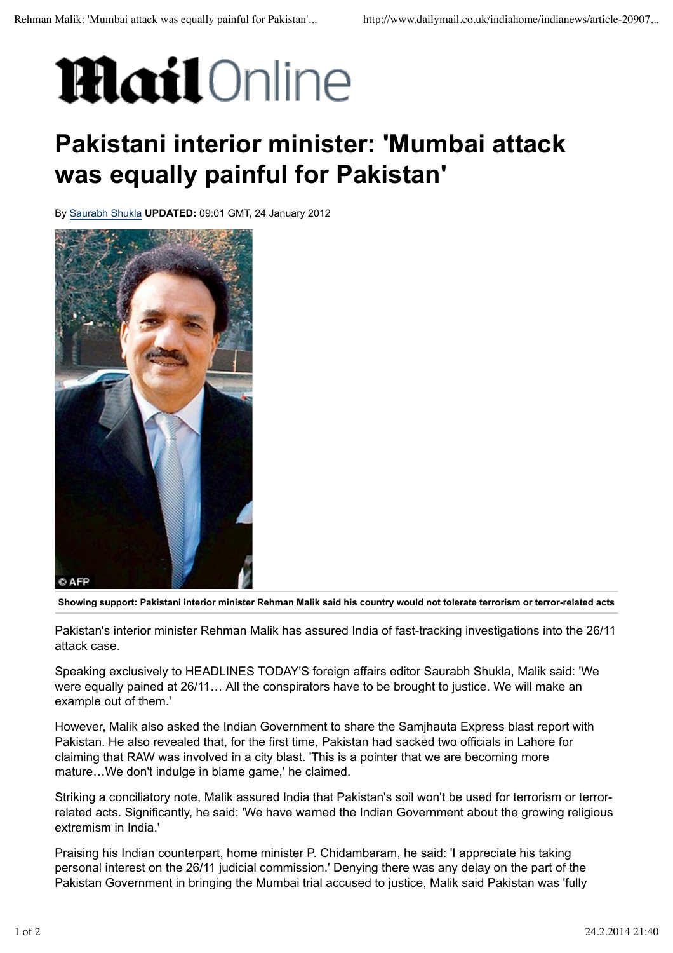## **Mail**Online

## **Pakistani interior minister: 'Mumbai attack was equally painful for Pakistan'**

By Saurabh Shukla **UPDATED:** 09:01 GMT, 24 January 2012



**Showing support: Pakistani interior minister Rehman Malik said his country would not tolerate terrorism or terror-related acts**

Pakistan's interior minister Rehman Malik has assured India of fast-tracking investigations into the 26/11 attack case.

Speaking exclusively to HEADLINES TODAY'S foreign affairs editor Saurabh Shukla, Malik said: 'We were equally pained at 26/11… All the conspirators have to be brought to justice. We will make an example out of them.'

However, Malik also asked the Indian Government to share the Samjhauta Express blast report with Pakistan. He also revealed that, for the first time, Pakistan had sacked two officials in Lahore for claiming that RAW was involved in a city blast. 'This is a pointer that we are becoming more mature…We don't indulge in blame game,' he claimed.

Striking a conciliatory note, Malik assured India that Pakistan's soil won't be used for terrorism or terrorrelated acts. Significantly, he said: 'We have warned the Indian Government about the growing religious extremism in India.'

Praising his Indian counterpart, home minister P. Chidambaram, he said: 'I appreciate his taking personal interest on the 26/11 judicial commission.' Denying there was any delay on the part of the Pakistan Government in bringing the Mumbai trial accused to justice, Malik said Pakistan was 'fully